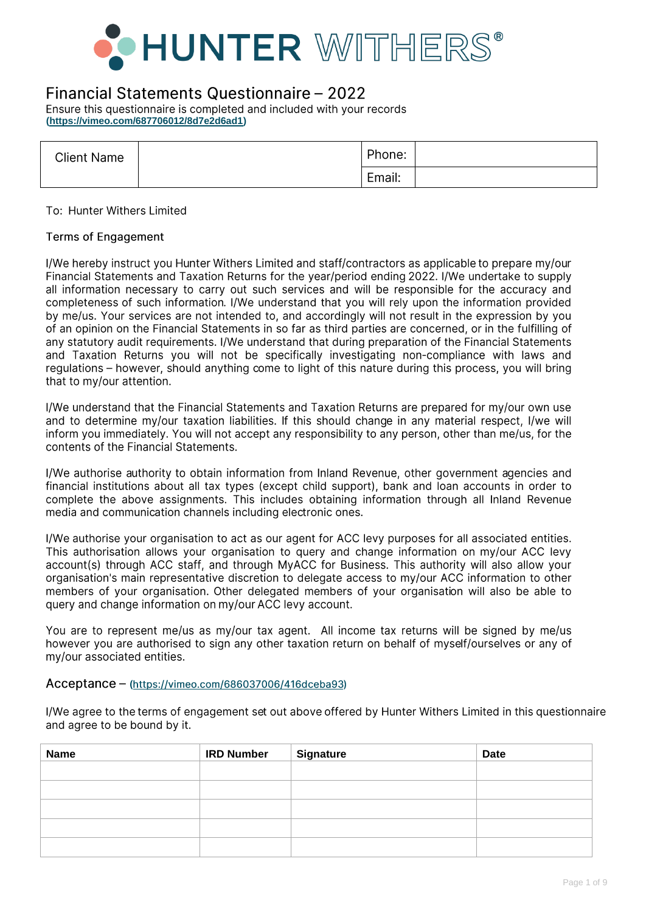

### Financial Statements Questionnaire - 2022

Ensure this questionnaire is completed and included with your records **[\(https://vimeo.com/687706012/8d7e2d6ad1\)](https://vimeo.com/687706012/8d7e2d6ad1)**

| <b>Client Name</b> | Phone: |  |
|--------------------|--------|--|
|                    | Email: |  |

To: Hunter Withers Limited

#### **Terms of Engagement**

I/We hereby instruct you Hunter Withers Limited and staff/contractors as applicable to prepare my/our Financial Statements and Taxation Returns for the year/period ending 2022. I/We undertake to supply all information necessary to carry out such services and will be responsible for the accuracy and completeness of such information. I/We understand that you will rely upon the information provided by me/us. Your services are not intended to, and accordingly will not result in the expression by you of an opinion on the Financial Statements in so far as third parties are concerned, or in the fulfilling of any statutory audit requirements. I/We understand that during preparation of the Financial Statements and Taxation Returns you will not be specifically investigating non-compliance with laws and requiations – however, should anything come to light of this nature during this process, you will bring that to my/our attention.

I/We understand that the Financial Statements and Taxation Returns are prepared for my/our own use and to determine my/our taxation liabilities. If this should change in any material respect, I/we will inform you immediately. You will not accept any responsibility to any person, other than me/us, for the contents of the Financial Statements.

I/We authorise authority to obtain information from Inland Revenue, other government agencies and financial institutions about all tax types (except child support), bank and loan accounts in order to complete the above assignments. This includes obtaining information through all Inland Revenue media and communication channels including electronic ones.

I/We authorise your organisation to act as our agent for ACC levy purposes for all associated entities. This authorisation allows your organisation to query and change information on my/our ACC levy account(s) through ACC staff, and through MyACC for Business. This authority will also allow your organisation's main representative discretion to delegate access to my/our ACC information to other members of your organisation. Other delegated members of your organisation will also be able to query and change information on my/our ACC levy account.

You are to represent me/us as my/our tax agent. All income tax returns will be signed by me/us however you are authorised to sign any other taxation return on behalf of myself/ourselves or any of my/our associated entities.

#### Acceptance - (https://vimeo.com/686037006/416dceba93)

I/We agree to the terms of engagement set out above offered by Hunter Withers Limited in this questionnaire and agree to be bound by it.

| Name | <b>IRD Number</b> | Signature | <b>Date</b> |
|------|-------------------|-----------|-------------|
|      |                   |           |             |
|      |                   |           |             |
|      |                   |           |             |
|      |                   |           |             |
|      |                   |           |             |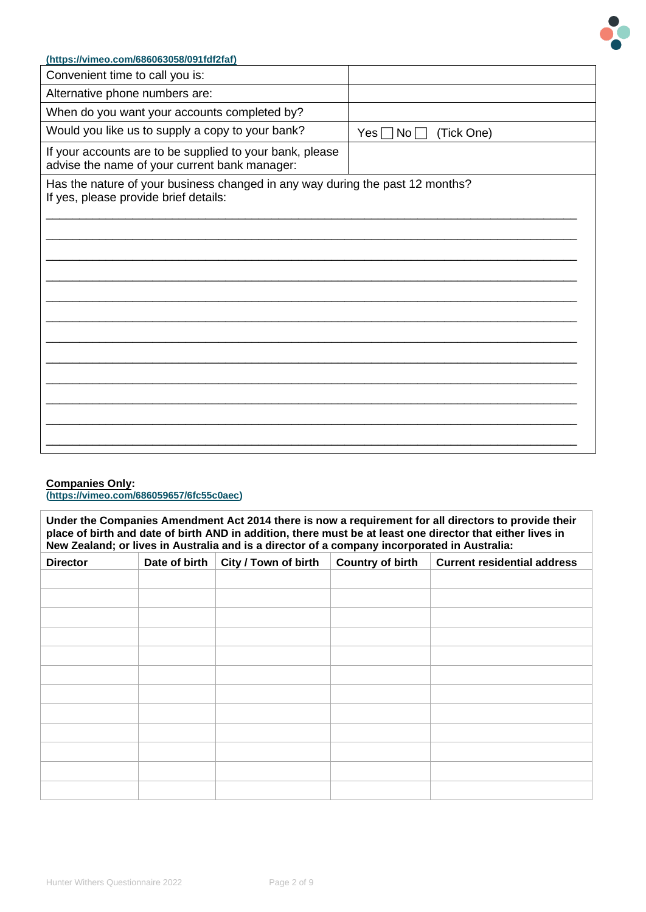

| (https://vimeo.com/686063058/091fdf2faf)                                                                               |                                  |
|------------------------------------------------------------------------------------------------------------------------|----------------------------------|
| Convenient time to call you is:                                                                                        |                                  |
| Alternative phone numbers are:                                                                                         |                                  |
| When do you want your accounts completed by?                                                                           |                                  |
| Would you like us to supply a copy to your bank?                                                                       | (Tick One)<br>$Yes \Box No \Box$ |
| If your accounts are to be supplied to your bank, please<br>advise the name of your current bank manager:              |                                  |
| Has the nature of your business changed in any way during the past 12 months?<br>If yes, please provide brief details: |                                  |
|                                                                                                                        |                                  |
|                                                                                                                        |                                  |
|                                                                                                                        |                                  |

#### **Companies Only:**

**[\(https://vimeo.com/686059657/6fc55c0aec\)](https://vimeo.com/686059657/6fc55c0aec)** 

**Under the Companies Amendment Act 2014 there is now a requirement for all directors to provide their place of birth and date of birth AND in addition, there must be at least one director that either lives in New Zealand; or lives in Australia and is a director of a company incorporated in Australia:**

| <b>Director</b> | Date of birth | City / Town of birth | <b>Country of birth</b> | <b>Current residential address</b> |
|-----------------|---------------|----------------------|-------------------------|------------------------------------|
|                 |               |                      |                         |                                    |
|                 |               |                      |                         |                                    |
|                 |               |                      |                         |                                    |
|                 |               |                      |                         |                                    |
|                 |               |                      |                         |                                    |
|                 |               |                      |                         |                                    |
|                 |               |                      |                         |                                    |
|                 |               |                      |                         |                                    |
|                 |               |                      |                         |                                    |
|                 |               |                      |                         |                                    |
|                 |               |                      |                         |                                    |
|                 |               |                      |                         |                                    |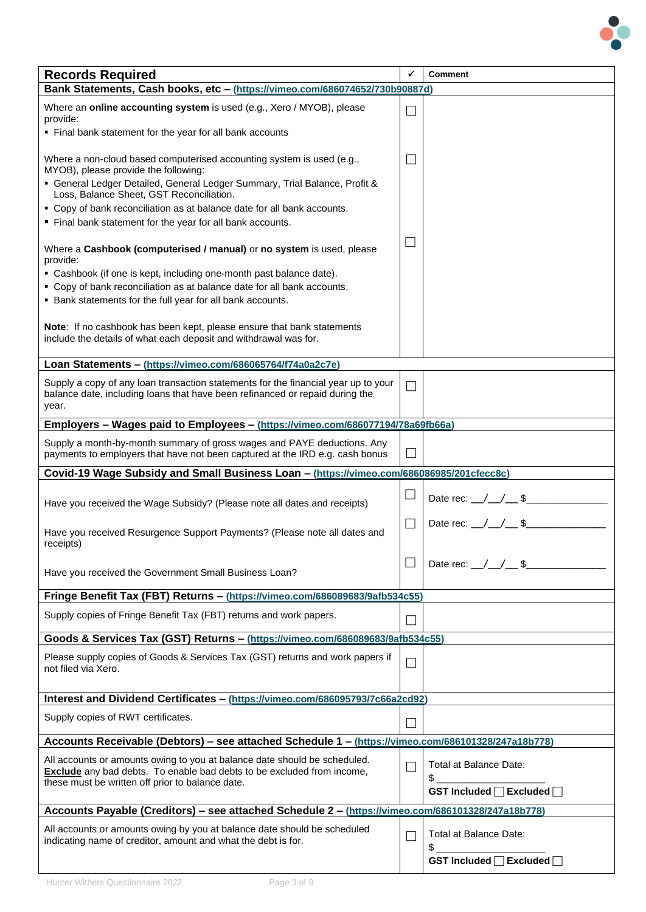

| <b>Records Required</b>                                                                                                                                                                                        | ✓                           | <b>Comment</b>                                            |  |  |  |
|----------------------------------------------------------------------------------------------------------------------------------------------------------------------------------------------------------------|-----------------------------|-----------------------------------------------------------|--|--|--|
| Bank Statements, Cash books, etc - (https://vimeo.com/686074652/730b90887d)                                                                                                                                    |                             |                                                           |  |  |  |
| Where an online accounting system is used (e.g., Xero / MYOB), please<br>provide:<br>• Final bank statement for the year for all bank accounts                                                                 | $\Box$                      |                                                           |  |  |  |
| Where a non-cloud based computerised accounting system is used (e.g.,                                                                                                                                          | $\Box$                      |                                                           |  |  |  |
| MYOB), please provide the following:<br>• General Ledger Detailed, General Ledger Summary, Trial Balance, Profit &<br>Loss, Balance Sheet, GST Reconciliation.                                                 |                             |                                                           |  |  |  |
| • Copy of bank reconciliation as at balance date for all bank accounts.<br>" Final bank statement for the year for all bank accounts.                                                                          |                             |                                                           |  |  |  |
| Where a Cashbook (computerised / manual) or no system is used, please<br>provide:                                                                                                                              | $\Box$                      |                                                           |  |  |  |
| • Cashbook (if one is kept, including one-month past balance date).<br>• Copy of bank reconciliation as at balance date for all bank accounts.<br>• Bank statements for the full year for all bank accounts.   |                             |                                                           |  |  |  |
| Note: If no cashbook has been kept, please ensure that bank statements<br>include the details of what each deposit and withdrawal was for.                                                                     |                             |                                                           |  |  |  |
| Loan Statements - (https://vimeo.com/686065764/f74a0a2c7e)                                                                                                                                                     |                             |                                                           |  |  |  |
| Supply a copy of any loan transaction statements for the financial year up to your<br>balance date, including loans that have been refinanced or repaid during the<br>year.                                    | $\Box$                      |                                                           |  |  |  |
| Employers - Wages paid to Employees - (https://vimeo.com/686077194/78a69fb66a)                                                                                                                                 |                             |                                                           |  |  |  |
| Supply a month-by-month summary of gross wages and PAYE deductions. Any<br>payments to employers that have not been captured at the IRD e.g. cash bonus                                                        | $\Box$                      |                                                           |  |  |  |
| Covid-19 Wage Subsidy and Small Business Loan - (https://vimeo.com/686086985/201cfecc8c)                                                                                                                       |                             |                                                           |  |  |  |
| Have you received the Wage Subsidy? (Please note all dates and receipts)                                                                                                                                       | $\mathcal{L}_{\mathcal{A}}$ | Date rec: $/$ / \$                                        |  |  |  |
| Have you received Resurgence Support Payments? (Please note all dates and<br>receipts)                                                                                                                         | П                           | Date rec: $\angle$ $\angle$ $\angle$ \$                   |  |  |  |
| Have you received the Government Small Business Loan?                                                                                                                                                          |                             | Date rec: $\angle$ / $\angle$ \$                          |  |  |  |
| Fringe Benefit Tax (FBT) Returns - (https://vimeo.com/686089683/9afb534c55)                                                                                                                                    |                             |                                                           |  |  |  |
| Supply copies of Fringe Benefit Tax (FBT) returns and work papers.                                                                                                                                             | П                           |                                                           |  |  |  |
| Goods & Services Tax (GST) Returns - (https://vimeo.com/686089683/9afb534c55)                                                                                                                                  |                             |                                                           |  |  |  |
| Please supply copies of Goods & Services Tax (GST) returns and work papers if<br>not filed via Xero.                                                                                                           | $\Box$                      |                                                           |  |  |  |
| Interest and Dividend Certificates - (https://vimeo.com/686095793/7c66a2cd92)                                                                                                                                  |                             |                                                           |  |  |  |
| Supply copies of RWT certificates.                                                                                                                                                                             |                             |                                                           |  |  |  |
| Accounts Receivable (Debtors) - see attached Schedule 1 - (https://vimeo.com/686101328/247a18b778)                                                                                                             |                             |                                                           |  |  |  |
| All accounts or amounts owing to you at balance date should be scheduled.<br><b>Exclude</b> any bad debts. To enable bad debts to be excluded from income,<br>these must be written off prior to balance date. | $\mathcal{L}$               | Total at Balance Date:<br>\$<br>GST Included □ Excluded □ |  |  |  |
| Accounts Payable (Creditors) - see attached Schedule 2 - (https://vimeo.com/686101328/247a18b778)                                                                                                              |                             |                                                           |  |  |  |
| All accounts or amounts owing by you at balance date should be scheduled<br>indicating name of creditor, amount and what the debt is for.                                                                      | $\mathsf{L}$                | Total at Balance Date:<br>\$                              |  |  |  |
|                                                                                                                                                                                                                |                             | GST Included   Excluded                                   |  |  |  |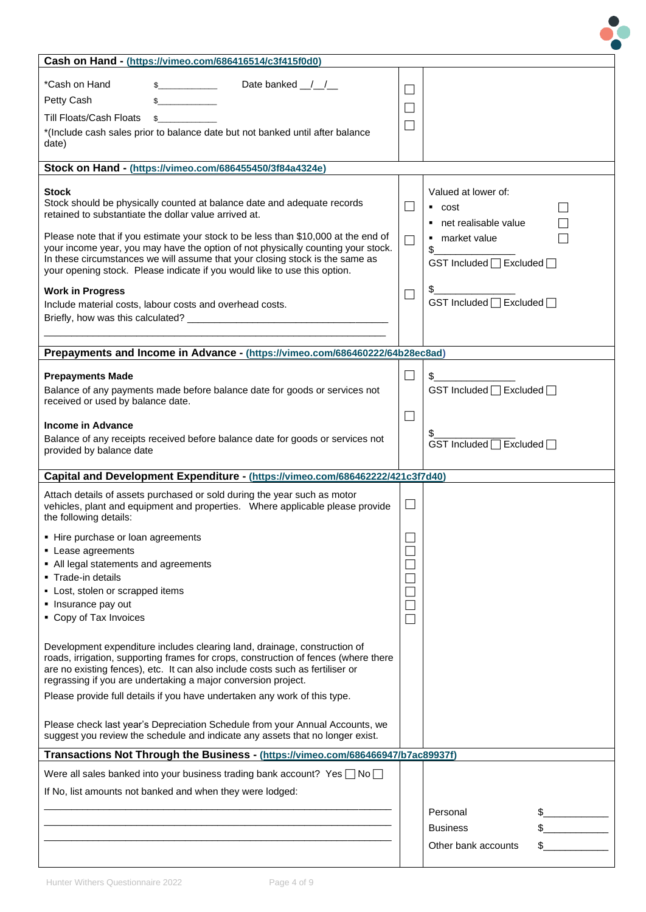| Cash on Hand - (https://vimeo.com/686416514/c3f415f0d0)                                                                                                          |                |                               |
|------------------------------------------------------------------------------------------------------------------------------------------------------------------|----------------|-------------------------------|
| *Cash on Hand<br>Date banked $\frac{1}{2}$                                                                                                                       | $\blacksquare$ |                               |
| Petty Cash                                                                                                                                                       |                |                               |
| <b>Till Floats/Cash Floats</b>                                                                                                                                   | ×.             |                               |
| *(Include cash sales prior to balance date but not banked until after balance                                                                                    |                |                               |
| date)                                                                                                                                                            |                |                               |
|                                                                                                                                                                  |                |                               |
| Stock on Hand - (https://vimeo.com/686455450/3f84a4324e)                                                                                                         |                |                               |
| Stock                                                                                                                                                            |                | Valued at lower of:           |
| Stock should be physically counted at balance date and adequate records<br>retained to substantiate the dollar value arrived at.                                 | $\Box$         | $\overline{\phantom{a}}$ cost |
|                                                                                                                                                                  |                | • net realisable value        |
| Please note that if you estimate your stock to be less than \$10,000 at the end of                                                                               | $\Box$         | • market value                |
| your income year, you may have the option of not physically counting your stock.<br>In these circumstances we will assume that your closing stock is the same as |                | \$                            |
| your opening stock. Please indicate if you would like to use this option.                                                                                        |                | GST Included □ Excluded □     |
| <b>Work in Progress</b>                                                                                                                                          |                |                               |
| Include material costs, labour costs and overhead costs.                                                                                                         |                | GST Included   Excluded       |
|                                                                                                                                                                  |                |                               |
|                                                                                                                                                                  |                |                               |
| Prepayments and Income in Advance - (https://vimeo.com/686460222/64b28ec8ad)                                                                                     |                |                               |
|                                                                                                                                                                  |                |                               |
| <b>Prepayments Made</b>                                                                                                                                          | ⊔              | $\frac{1}{2}$                 |
| Balance of any payments made before balance date for goods or services not<br>received or used by balance date.                                                  |                | GST Included □ Excluded □     |
|                                                                                                                                                                  | $\Box$         |                               |
| Income in Advance                                                                                                                                                |                | \$_                           |
| Balance of any receipts received before balance date for goods or services not                                                                                   |                | GST Included □ Excluded □     |
| provided by balance date                                                                                                                                         |                |                               |
| Capital and Development Expenditure - (https://vimeo.com/686462222/421c3f7d40)                                                                                   |                |                               |
| Attach details of assets purchased or sold during the year such as motor                                                                                         |                |                               |
| vehicles, plant and equipment and properties.  Where applicable please provide                                                                                   | ⊔              |                               |
| the following details:                                                                                                                                           |                |                               |
| - Hire purchase or loan agreements                                                                                                                               |                |                               |
| • Lease agreements                                                                                                                                               |                |                               |
| • All legal statements and agreements                                                                                                                            |                |                               |
| • Trade-in details<br>- Lost, stolen or scrapped items                                                                                                           |                |                               |
|                                                                                                                                                                  |                |                               |
|                                                                                                                                                                  |                |                               |
| • Insurance pay out<br>• Copy of Tax Invoices                                                                                                                    |                |                               |
|                                                                                                                                                                  |                |                               |
| Development expenditure includes clearing land, drainage, construction of                                                                                        |                |                               |
| roads, irrigation, supporting frames for crops, construction of fences (where there                                                                              |                |                               |
| are no existing fences), etc. It can also include costs such as fertiliser or                                                                                    |                |                               |
| regrassing if you are undertaking a major conversion project.<br>Please provide full details if you have undertaken any work of this type.                       |                |                               |
|                                                                                                                                                                  |                |                               |
| Please check last year's Depreciation Schedule from your Annual Accounts, we                                                                                     |                |                               |
| suggest you review the schedule and indicate any assets that no longer exist.                                                                                    |                |                               |
| Transactions Not Through the Business - (https://vimeo.com/686466947/b7ac89937f)                                                                                 |                |                               |
|                                                                                                                                                                  |                |                               |
| Were all sales banked into your business trading bank account? Yes $\Box$ No $\Box$                                                                              |                |                               |
| If No, list amounts not banked and when they were lodged:                                                                                                        |                |                               |
|                                                                                                                                                                  |                | Personal                      |
|                                                                                                                                                                  |                | <b>Business</b>               |
|                                                                                                                                                                  |                | Other bank accounts           |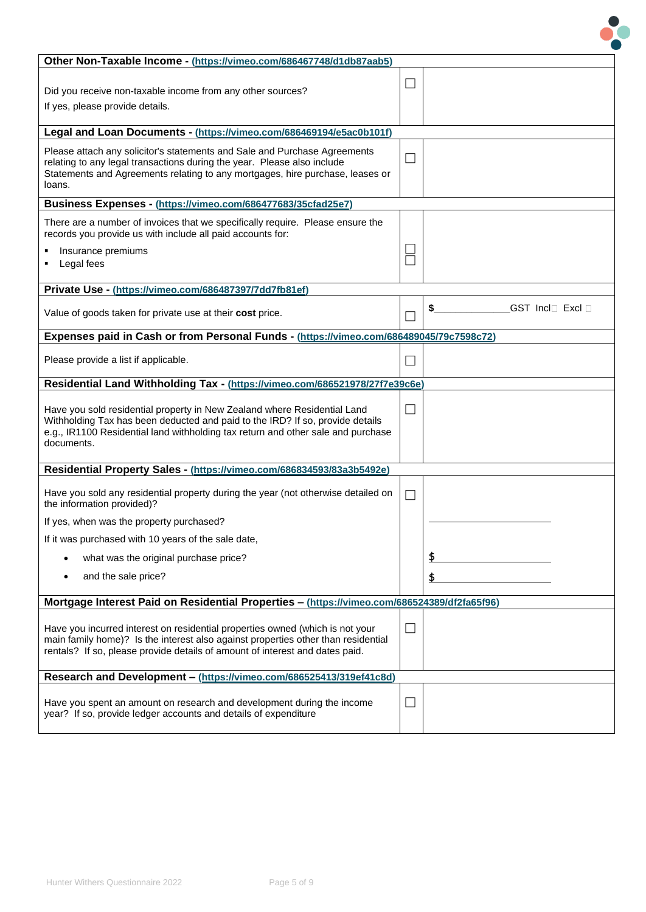| Other Non-Taxable Income - (https://vimeo.com/686467748/d1db87aab5)                            |        |                                                 |
|------------------------------------------------------------------------------------------------|--------|-------------------------------------------------|
|                                                                                                | L.     |                                                 |
| Did you receive non-taxable income from any other sources?                                     |        |                                                 |
| If yes, please provide details.                                                                |        |                                                 |
|                                                                                                |        |                                                 |
| Legal and Loan Documents - (https://vimeo.com/686469194/e5ac0b101f)                            |        |                                                 |
| Please attach any solicitor's statements and Sale and Purchase Agreements                      |        |                                                 |
| relating to any legal transactions during the year. Please also include                        | M.     |                                                 |
| Statements and Agreements relating to any mortgages, hire purchase, leases or                  |        |                                                 |
| loans.                                                                                         |        |                                                 |
| Business Expenses - (https://vimeo.com/686477683/35cfad25e7)                                   |        |                                                 |
| There are a number of invoices that we specifically require. Please ensure the                 |        |                                                 |
| records you provide us with include all paid accounts for:                                     |        |                                                 |
| Insurance premiums                                                                             |        |                                                 |
| Legal fees                                                                                     |        |                                                 |
|                                                                                                |        |                                                 |
| Private Use - (https://vimeo.com/686487397/7dd7fb81ef)                                         |        |                                                 |
| Value of goods taken for private use at their cost price.                                      |        | GST Incl <sup>[</sup> Excl <sup>[</sup> ]<br>\$ |
|                                                                                                | ×      |                                                 |
| Expenses paid in Cash or from Personal Funds - (https://vimeo.com/686489045/79c7598c72)        |        |                                                 |
|                                                                                                |        |                                                 |
| Please provide a list if applicable.                                                           | $\sim$ |                                                 |
| Residential Land Withholding Tax - (https://vimeo.com/686521978/27f7e39c6e)                    |        |                                                 |
|                                                                                                |        |                                                 |
| Have you sold residential property in New Zealand where Residential Land                       | M.     |                                                 |
| Withholding Tax has been deducted and paid to the IRD? If so, provide details                  |        |                                                 |
| e.g., IR1100 Residential land withholding tax return and other sale and purchase<br>documents. |        |                                                 |
|                                                                                                |        |                                                 |
| Residential Property Sales - (https://vimeo.com/686834593/83a3b5492e)                          |        |                                                 |
|                                                                                                |        |                                                 |
| Have you sold any residential property during the year (not otherwise detailed on              | $\Box$ |                                                 |
| the information provided)?                                                                     |        |                                                 |
| If yes, when was the property purchased?                                                       |        |                                                 |
| If it was purchased with 10 years of the sale date,                                            |        |                                                 |
| what was the original purchase price?                                                          |        |                                                 |
| and the sale price?                                                                            |        |                                                 |
|                                                                                                |        | \$                                              |
| Mortgage Interest Paid on Residential Properties - (https://vimeo.com/686524389/df2fa65f96)    |        |                                                 |
|                                                                                                |        |                                                 |
| Have you incurred interest on residential properties owned (which is not your                  | ⊔      |                                                 |
| main family home)? Is the interest also against properties other than residential              |        |                                                 |
| rentals? If so, please provide details of amount of interest and dates paid.                   |        |                                                 |
| Research and Development - (https://vimeo.com/686525413/319ef41c8d)                            |        |                                                 |
|                                                                                                |        |                                                 |
| Have you spent an amount on research and development during the income                         | M      |                                                 |
| year? If so, provide ledger accounts and details of expenditure                                |        |                                                 |
|                                                                                                |        |                                                 |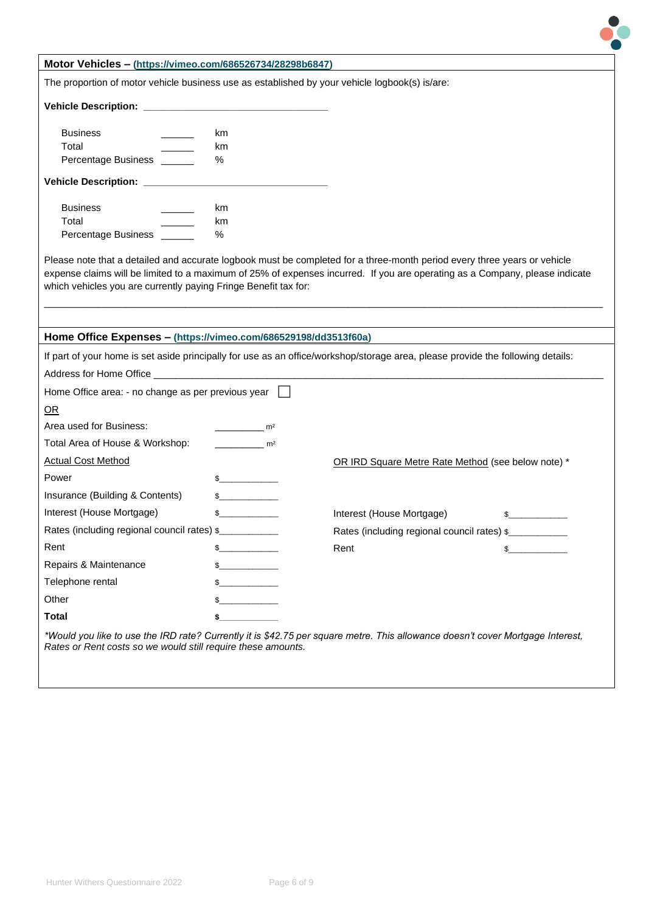

| The proportion of motor vehicle business use as established by your vehicle logbook(s) is/are:                                                                                                                                                                                                                             |                |                                                    |        |
|----------------------------------------------------------------------------------------------------------------------------------------------------------------------------------------------------------------------------------------------------------------------------------------------------------------------------|----------------|----------------------------------------------------|--------|
|                                                                                                                                                                                                                                                                                                                            |                |                                                    |        |
| <b>Business</b>                                                                                                                                                                                                                                                                                                            | km             |                                                    |        |
| Total                                                                                                                                                                                                                                                                                                                      | km             |                                                    |        |
| Percentage Business                                                                                                                                                                                                                                                                                                        | %              |                                                    |        |
| Vehicle Description: __________                                                                                                                                                                                                                                                                                            |                |                                                    |        |
| <b>Business</b>                                                                                                                                                                                                                                                                                                            | km             |                                                    |        |
| Total                                                                                                                                                                                                                                                                                                                      | km             |                                                    |        |
| Percentage Business ______                                                                                                                                                                                                                                                                                                 | %              |                                                    |        |
| Please note that a detailed and accurate logbook must be completed for a three-month period every three years or vehicle<br>expense claims will be limited to a maximum of 25% of expenses incurred. If you are operating as a Company, please indicate<br>which vehicles you are currently paying Fringe Benefit tax for: |                |                                                    |        |
|                                                                                                                                                                                                                                                                                                                            |                |                                                    |        |
| Home Office Expenses - (https://vimeo.com/686529198/dd3513f60a)                                                                                                                                                                                                                                                            |                |                                                    |        |
| If part of your home is set aside principally for use as an office/workshop/storage area, please provide the following details:                                                                                                                                                                                            |                |                                                    |        |
| Address for Home Office <b>All and Server Contract Contract Contract Contract Contract Contract Contract Contract Contract Contract Contract Contract Contract Contract Contract Contract Contract Contract Contract Contract Co</b>                                                                                       |                |                                                    |        |
| Home Office area: - no change as per previous year                                                                                                                                                                                                                                                                         |                |                                                    |        |
| OR                                                                                                                                                                                                                                                                                                                         |                |                                                    |        |
| Area used for Business:                                                                                                                                                                                                                                                                                                    | m <sup>2</sup> |                                                    |        |
| Total Area of House & Workshop:                                                                                                                                                                                                                                                                                            | m <sup>2</sup> |                                                    |        |
| <b>Actual Cost Method</b>                                                                                                                                                                                                                                                                                                  |                | OR IRD Square Metre Rate Method (see below note) * |        |
| Power                                                                                                                                                                                                                                                                                                                      | $\frac{1}{2}$  |                                                    |        |
| Insurance (Building & Contents)                                                                                                                                                                                                                                                                                            | $\frac{1}{2}$  |                                                    |        |
| Interest (House Mortgage)                                                                                                                                                                                                                                                                                                  | $\frac{1}{2}$  | Interest (House Mortgage)                          | $\sim$ |
| Rates (including regional council rates) \$                                                                                                                                                                                                                                                                                |                | Rates (including regional council rates) \$        |        |
| Rent                                                                                                                                                                                                                                                                                                                       | $\frac{1}{2}$  | Rent                                               | $\sim$ |
| Repairs & Maintenance                                                                                                                                                                                                                                                                                                      | $\frac{1}{2}$  |                                                    |        |
| Telephone rental                                                                                                                                                                                                                                                                                                           | $\frac{1}{2}$  |                                                    |        |
| Other                                                                                                                                                                                                                                                                                                                      |                |                                                    |        |
| Total                                                                                                                                                                                                                                                                                                                      | \$             |                                                    |        |

**Motor Vehicles – [\(https://vimeo.com/686526734/28298b6847\)](https://vimeo.com/686526734/28298b6847)**

*\*Would you like to use the IRD rate? Currently it is \$42.75 per square metre. This allowance doesn't cover Mortgage Interest, Rates or Rent costs so we would still require these amounts.*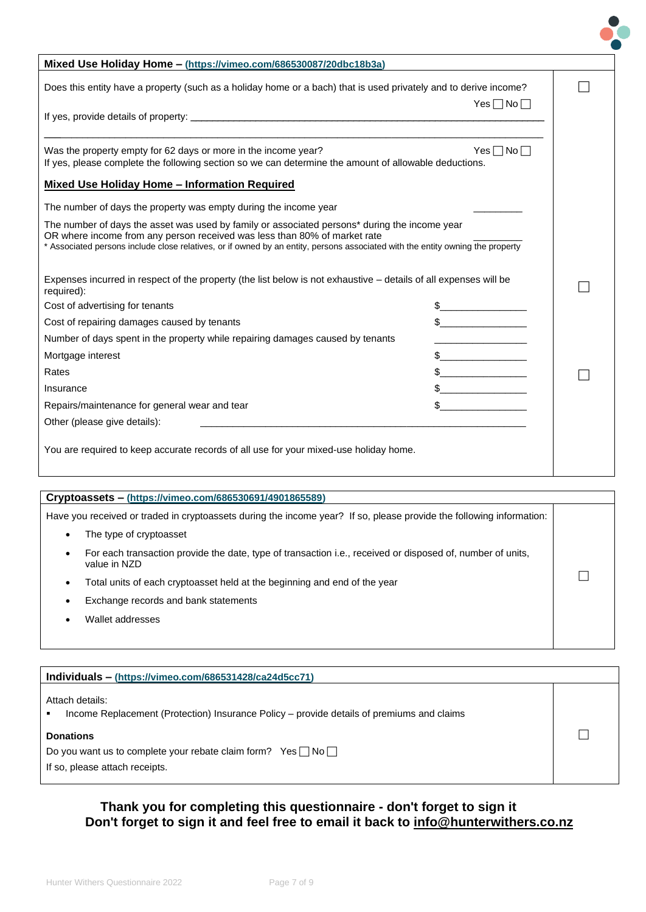| Mixed Use Holiday Home - (https://vimeo.com/686530087/20dbc18b3a)                                                                                                                                                                                                                                            |                      |  |
|--------------------------------------------------------------------------------------------------------------------------------------------------------------------------------------------------------------------------------------------------------------------------------------------------------------|----------------------|--|
| Does this entity have a property (such as a holiday home or a bach) that is used privately and to derive income?                                                                                                                                                                                             |                      |  |
|                                                                                                                                                                                                                                                                                                              | $Yes \Box No \Box$   |  |
|                                                                                                                                                                                                                                                                                                              |                      |  |
| Was the property empty for 62 days or more in the income year?<br>If yes, please complete the following section so we can determine the amount of allowable deductions.                                                                                                                                      | Yes $\Box$ No $\Box$ |  |
| <b>Mixed Use Holiday Home - Information Required</b>                                                                                                                                                                                                                                                         |                      |  |
| The number of days the property was empty during the income year                                                                                                                                                                                                                                             |                      |  |
| The number of days the asset was used by family or associated persons* during the income year<br>OR where income from any person received was less than 80% of market rate<br>* Associated persons include close relatives, or if owned by an entity, persons associated with the entity owning the property |                      |  |
| Expenses incurred in respect of the property (the list below is not exhaustive - details of all expenses will be<br>required):                                                                                                                                                                               |                      |  |
| Cost of advertising for tenants                                                                                                                                                                                                                                                                              |                      |  |
| Cost of repairing damages caused by tenants                                                                                                                                                                                                                                                                  | $\sim$               |  |
| Number of days spent in the property while repairing damages caused by tenants                                                                                                                                                                                                                               |                      |  |
| Mortgage interest                                                                                                                                                                                                                                                                                            |                      |  |
| Rates                                                                                                                                                                                                                                                                                                        | $\mathbb S$          |  |
| Insurance                                                                                                                                                                                                                                                                                                    |                      |  |
| Repairs/maintenance for general wear and tear                                                                                                                                                                                                                                                                |                      |  |
| Other (please give details):                                                                                                                                                                                                                                                                                 |                      |  |
| You are required to keep accurate records of all use for your mixed-use holiday home.                                                                                                                                                                                                                        |                      |  |

| Cryptoassets – (https://vimeo.com/686530691/4901865589)                                                                                 |  |  |  |
|-----------------------------------------------------------------------------------------------------------------------------------------|--|--|--|
| Have you received or traded in cryptoassets during the income year? If so, please provide the following information:                    |  |  |  |
| The type of cryptoasset<br>$\bullet$                                                                                                    |  |  |  |
| For each transaction provide the date, type of transaction i.e., received or disposed of, number of units,<br>$\bullet$<br>value in NZD |  |  |  |
| Total units of each cryptoasset held at the beginning and end of the year<br>٠                                                          |  |  |  |
| Exchange records and bank statements                                                                                                    |  |  |  |
| Wallet addresses                                                                                                                        |  |  |  |
|                                                                                                                                         |  |  |  |

| Individuals - (https://vimeo.com/686531428/ca24d5cc71)                                                       |  |  |  |
|--------------------------------------------------------------------------------------------------------------|--|--|--|
| Attach details:<br>Income Replacement (Protection) Insurance Policy - provide details of premiums and claims |  |  |  |
| <b>Donations</b>                                                                                             |  |  |  |
| Do you want us to complete your rebate claim form? Yes $\Box$ No $\Box$                                      |  |  |  |
| If so, please attach receipts.                                                                               |  |  |  |

### **Thank you for completing this questionnaire - don't forget to sign it Don't forget to sign it and feel free to email it back to info@hunterwithers.co.nz**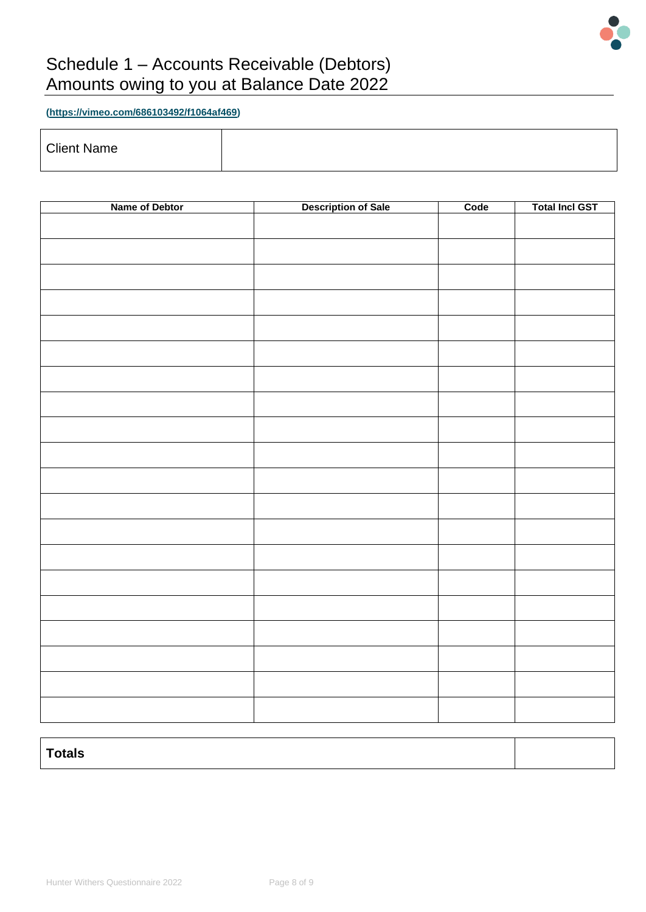

## Schedule 1 – Accounts Receivable (Debtors) Amounts owing to you at Balance Date 2022

**[\(https://vimeo.com/686103492/f1064af469\)](https://vimeo.com/686103492/f1064af469)**

Client Name

| Name of Debtor | <b>Description of Sale</b> | Code | <b>Total Incl GST</b> |
|----------------|----------------------------|------|-----------------------|
|                |                            |      |                       |
|                |                            |      |                       |
|                |                            |      |                       |
|                |                            |      |                       |
|                |                            |      |                       |
|                |                            |      |                       |
|                |                            |      |                       |
|                |                            |      |                       |
|                |                            |      |                       |
|                |                            |      |                       |
|                |                            |      |                       |
|                |                            |      |                       |
|                |                            |      |                       |
|                |                            |      |                       |
|                |                            |      |                       |
|                |                            |      |                       |
|                |                            |      |                       |
|                |                            |      |                       |
|                |                            |      |                       |
|                |                            |      |                       |
|                |                            |      |                       |
|                |                            |      |                       |

| $\tau$ otals |  |  |
|--------------|--|--|
|              |  |  |